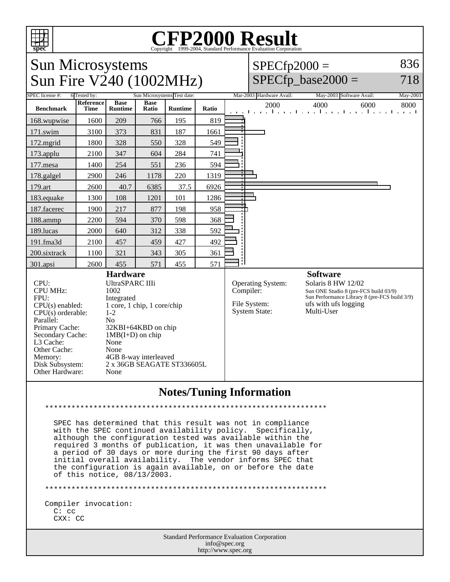

## **CFP2000 Result** Copyright ©1999-2004, Standard Performance Evaluation Corporation

| <b>Sun Microsystems</b><br>Sun Fire V240 (1002MHz)                                                                                                                                                                                                                                                                                                                                                                                                                      |                           |                |             |                             |       |  | $SPECfp2000 =$                                                                                                                                                                                                                                         | $SPECfp\_base2000 =$                                                   | 836<br>718 |
|-------------------------------------------------------------------------------------------------------------------------------------------------------------------------------------------------------------------------------------------------------------------------------------------------------------------------------------------------------------------------------------------------------------------------------------------------------------------------|---------------------------|----------------|-------------|-----------------------------|-------|--|--------------------------------------------------------------------------------------------------------------------------------------------------------------------------------------------------------------------------------------------------------|------------------------------------------------------------------------|------------|
| <b>SPEC</b> license #:                                                                                                                                                                                                                                                                                                                                                                                                                                                  | 6 Tested by:<br>Reference | <b>Base</b>    | <b>Base</b> | Sun Microsystems Test date: |       |  | Mar-2003 Hardware Avail:                                                                                                                                                                                                                               | May-2003 Software Avail:                                               | May-2003   |
| <b>Benchmark</b>                                                                                                                                                                                                                                                                                                                                                                                                                                                        | <b>Time</b>               | <b>Runtime</b> | Ratio       | <b>Runtime</b>              | Ratio |  | 2000                                                                                                                                                                                                                                                   | 4000<br>6000<br>المتعملة وبالمتعمل والمتعمل والمتعمل والمتعمل والمتعمل | 8000       |
| 168.wupwise                                                                                                                                                                                                                                                                                                                                                                                                                                                             | 1600                      | 209            | 766         | 195                         | 819   |  |                                                                                                                                                                                                                                                        |                                                                        |            |
| 171.swim                                                                                                                                                                                                                                                                                                                                                                                                                                                                | 3100                      | 373            | 831         | 187                         | 1661  |  |                                                                                                                                                                                                                                                        |                                                                        |            |
| 172.mgrid                                                                                                                                                                                                                                                                                                                                                                                                                                                               | 1800                      | 328            | 550         | 328                         | 549   |  |                                                                                                                                                                                                                                                        |                                                                        |            |
| $173$ .applu                                                                                                                                                                                                                                                                                                                                                                                                                                                            | 2100                      | 347            | 604         | 284                         | 741   |  |                                                                                                                                                                                                                                                        |                                                                        |            |
| 177.mesa                                                                                                                                                                                                                                                                                                                                                                                                                                                                | 1400                      | 254            | 551         | 236                         | 594   |  |                                                                                                                                                                                                                                                        |                                                                        |            |
| 178.galgel                                                                                                                                                                                                                                                                                                                                                                                                                                                              | 2900                      | 246            | 1178        | 220                         | 1319  |  |                                                                                                                                                                                                                                                        |                                                                        |            |
| 179.art                                                                                                                                                                                                                                                                                                                                                                                                                                                                 | 2600                      | 40.7           | 6385        | 37.5                        | 6926  |  |                                                                                                                                                                                                                                                        |                                                                        |            |
| 183.equake                                                                                                                                                                                                                                                                                                                                                                                                                                                              | 1300                      | 108            | 1201        | 101                         | 1286  |  |                                                                                                                                                                                                                                                        |                                                                        |            |
| 187.facerec                                                                                                                                                                                                                                                                                                                                                                                                                                                             | 1900                      | 217            | 877         | 198                         | 958   |  |                                                                                                                                                                                                                                                        |                                                                        |            |
| 188.ammp                                                                                                                                                                                                                                                                                                                                                                                                                                                                | 2200                      | 594            | 370         | 598                         | 368   |  |                                                                                                                                                                                                                                                        |                                                                        |            |
| 189.lucas                                                                                                                                                                                                                                                                                                                                                                                                                                                               | 2000                      | 640            | 312         | 338                         | 592   |  |                                                                                                                                                                                                                                                        |                                                                        |            |
| 191.fma3d                                                                                                                                                                                                                                                                                                                                                                                                                                                               | 2100                      | 457            | 459         | 427                         | 492   |  |                                                                                                                                                                                                                                                        |                                                                        |            |
| 200.sixtrack                                                                                                                                                                                                                                                                                                                                                                                                                                                            | 1100                      | 321            | 343         | 305                         | 361   |  |                                                                                                                                                                                                                                                        |                                                                        |            |
| 301.apsi                                                                                                                                                                                                                                                                                                                                                                                                                                                                | 2600                      | 455            | 571         | 455                         | 571   |  |                                                                                                                                                                                                                                                        |                                                                        |            |
| <b>Hardware</b><br><b>UltraSPARC IIIi</b><br>CPU:<br><b>CPU MHz:</b><br>1002<br>FPU:<br>Integrated<br>1 core, 1 chip, 1 core/chip<br>$CPU(s)$ enabled:<br>$CPU(s)$ orderable:<br>$1 - 2$<br>Parallel:<br>N <sub>0</sub><br>Primary Cache:<br>32KBI+64KBD on chip<br>Secondary Cache:<br>$1MB(I+D)$ on chip<br>L3 Cache:<br>None<br>Other Cache:<br>None<br>4GB 8-way interleaved<br>Memory:<br>Disk Subsystem:<br>2 x 36GB SEAGATE ST336605L<br>Other Hardware:<br>None |                           |                |             |                             |       |  | <b>Software</b><br>Solaris 8 HW 12/02<br><b>Operating System:</b><br>Compiler:<br>Sun ONE Studio 8 (pre-FCS build 03/9)<br>Sun Performance Library 8 (pre-FCS build 3/9)<br>File System:<br>ufs with ufs logging<br><b>System State:</b><br>Multi-User |                                                                        |            |
|                                                                                                                                                                                                                                                                                                                                                                                                                                                                         |                           |                |             |                             |       |  |                                                                                                                                                                                                                                                        |                                                                        |            |

## **Notes/Tuning Information**

SPEC has determined that this result was not in compliance with the SPEC continued availability policy. Specifically, although the configuration tested was available within the required 3 months of publication, it was then unavailable for a period of 30 days or more during the first 90 days after initial overall availability. The vendor informs SPEC that the configuration is again available, on or before the date of this notice, 08/13/2003.

Compiler invocation:  $C:$   $CC$ CXX: CC

> Standard Performance Evaluation Corporation info@spec.org http://www.spec.org